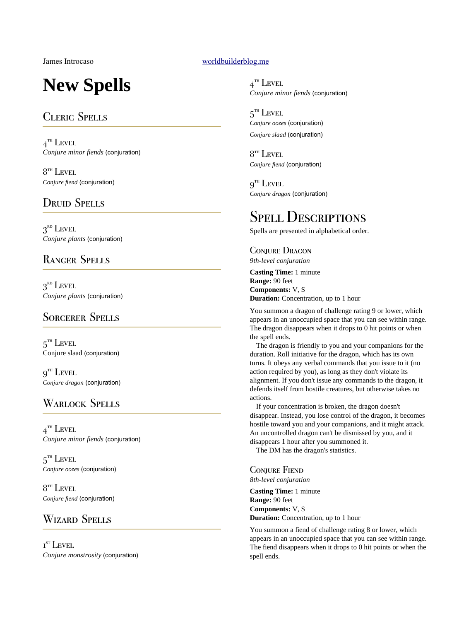# **New Spells**

# Cleric Spells

 $4^{\scriptscriptstyle\rm TH}$  Level *Conjure minor fiends* (conjuration)

 $8^{\text{th}}$  Level *Conjure fiend* (conjuration)

## Druid Spells

 $3<sup>RD</sup>$  Level *Conjure plants* (conjuration)

# Ranger Spells

 $3<sup>RD</sup>$  Level *Conjure plants* (conjuration)

# Sorcerer Spells

 $5^{\text{th}}$  Level Conjure slaad (conjuration)

 $9^{\text{\tiny{TH}}}$  Level *Conjure dragon* (conjuration)

# Warlock Spells

 $4^{\scriptscriptstyle\rm TH}$  Level *Conjure minor fiends* (conjuration)

 $5^{\text{th}}$  Level *Conjure oozes* (conjuration)

 $8^{\text{th}}$  Level *Conjure fiend* (conjuration)

# Wizard Spells

 $I^{ST}$  Level *Conjure monstrosity* (conjuration)

### James Introcaso [worldbuilderblog.me](http://worldbuilderblog.me/)

 $4^{\scriptscriptstyle\rm TH}$  Level *Conjure minor fiends* (conjuration)

 $5^{\text{th}}$  Level *Conjure oozes* (conjuration) *Conjure slaad* (conjuration)

 $8^{\text{th}}$  Level *Conjure fiend* (conjuration)

 $9^{\text{\tiny{TH}}}$  Level *Conjure dragon* (conjuration)

# Spell Descriptions

Spells are presented in alphabetical order.

CONJURE DRAGON *9th-level conjuration*

**Casting Time:** 1 minute **Range:** 90 feet **Components:** V, S **Duration:** Concentration, up to 1 hour

You summon a dragon of challenge rating 9 or lower, which appears in an unoccupied space that you can see within range. The dragon disappears when it drops to 0 hit points or when the spell ends.

The dragon is friendly to you and your companions for the duration. Roll initiative for the dragon, which has its own turns. It obeys any verbal commands that you issue to it (no action required by you), as long as they don't violate its alignment. If you don't issue any commands to the dragon, it defends itself from hostile creatures, but otherwise takes no actions.

If your concentration is broken, the dragon doesn't disappear. Instead, you lose control of the dragon, it becomes hostile toward you and your companions, and it might attack. An uncontrolled dragon can't be dismissed by you, and it disappears 1 hour after you summoned it.

The DM has the dragon's statistics.

**CONJURE FIEND** 

*8th-level conjuration*

**Casting Time:** 1 minute **Range:** 90 feet **Components:** V, S **Duration:** Concentration, up to 1 hour

You summon a fiend of challenge rating 8 or lower, which appears in an unoccupied space that you can see within range. The fiend disappears when it drops to 0 hit points or when the spell ends.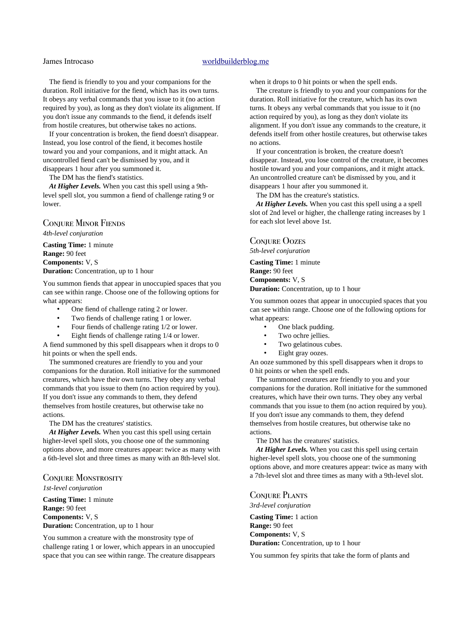### James Introcaso [worldbuilderblog.me](http://worldbuilderblog.me/)

The fiend is friendly to you and your companions for the duration. Roll initiative for the fiend, which has its own turns. It obeys any verbal commands that you issue to it (no action required by you), as long as they don't violate its alignment. If you don't issue any commands to the fiend, it defends itself from hostile creatures, but otherwise takes no actions.

If your concentration is broken, the fiend doesn't disappear. Instead, you lose control of the fiend, it becomes hostile toward you and your companions, and it might attack. An uncontrolled fiend can't be dismissed by you, and it disappears 1 hour after you summoned it.

The DM has the fiend's statistics.

*At Higher Levels.* When you cast this spell using a 9thlevel spell slot, you summon a fiend of challenge rating 9 or lower.

Conjure Minor Fiends *4th-level conjuration*

**Casting Time:** 1 minute **Range:** 90 feet **Components:** V, S **Duration:** Concentration, up to 1 hour

You summon fiends that appear in unoccupied spaces that you can see within range. Choose one of the following options for what appears:

- One fiend of challenge rating 2 or lower.
- Two fiends of challenge rating 1 or lower.
- Four fiends of challenge rating 1/2 or lower.
- Eight fiends of challenge rating 1/4 or lower.

A fiend summoned by this spell disappears when it drops to 0 hit points or when the spell ends.

The summoned creatures are friendly to you and your companions for the duration. Roll initiative for the summoned creatures, which have their own turns. They obey any verbal commands that you issue to them (no action required by you). If you don't issue any commands to them, they defend themselves from hostile creatures, but otherwise take no actions.

The DM has the creatures' statistics.

*At Higher Levels.* When you cast this spell using certain higher-level spell slots, you choose one of the summoning options above, and more creatures appear: twice as many with a 6th-level slot and three times as many with an 8th-level slot.

### **CONJURE MONSTROSITY**

*1st-level conjuration*

**Casting Time:** 1 minute **Range:** 90 feet **Components:** V, S **Duration:** Concentration, up to 1 hour

You summon a creature with the monstrosity type of challenge rating 1 or lower, which appears in an unoccupied space that you can see within range. The creature disappears when it drops to 0 hit points or when the spell ends.

The creature is friendly to you and your companions for the duration. Roll initiative for the creature, which has its own turns. It obeys any verbal commands that you issue to it (no action required by you), as long as they don't violate its alignment. If you don't issue any commands to the creature, it defends itself from other hostile creatures, but otherwise takes no actions.

If your concentration is broken, the creature doesn't disappear. Instead, you lose control of the creature, it becomes hostile toward you and your companions, and it might attack. An uncontrolled creature can't be dismissed by you, and it disappears 1 hour after you summoned it.

The DM has the creature's statistics.

*At Higher Levels.* When you cast this spell using a a spell slot of 2nd level or higher, the challenge rating increases by 1 for each slot level above 1st.

### CONJURE OOZES

*5th-level conjuration*

**Casting Time:** 1 minute **Range:** 90 feet **Components:** V, S **Duration:** Concentration, up to 1 hour

You summon oozes that appear in unoccupied spaces that you can see within range. Choose one of the following options for what appears:

- One black pudding.
- Two ochre jellies.
- Two gelatinous cubes.
- Eight gray oozes.

An ooze summoned by this spell disappears when it drops to 0 hit points or when the spell ends.

The summoned creatures are friendly to you and your companions for the duration. Roll initiative for the summoned creatures, which have their own turns. They obey any verbal commands that you issue to them (no action required by you). If you don't issue any commands to them, they defend themselves from hostile creatures, but otherwise take no actions.

The DM has the creatures' statistics.

*At Higher Levels.* When you cast this spell using certain higher-level spell slots, you choose one of the summoning options above, and more creatures appear: twice as many with a 7th-level slot and three times as many with a 9th-level slot.

CONJURE PLANTS *3rd-level conjuration*

**Casting Time:** 1 action **Range:** 90 feet **Components:** V, S **Duration:** Concentration, up to 1 hour

You summon fey spirits that take the form of plants and